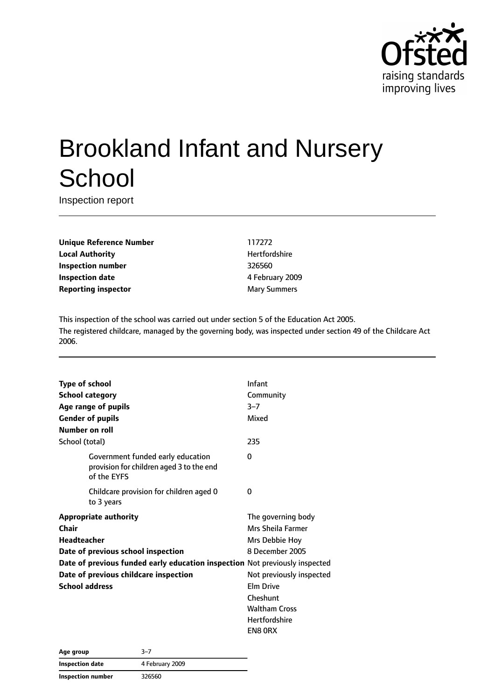

# Brookland Infant and Nursery **School**

Inspection report

**Unique Reference Number** 117272 **Local Authority Hertfordshire Inspection number** 326560 **Inspection date** 4 February 2009 **Reporting inspector** Mary Summers

This inspection of the school was carried out under section 5 of the Education Act 2005. The registered childcare, managed by the governing body, was inspected under section 49 of the Childcare Act 2006.

| <b>Type of school</b>  |                                                                                              | Infant                   |
|------------------------|----------------------------------------------------------------------------------------------|--------------------------|
| <b>School category</b> |                                                                                              | Community                |
|                        | Age range of pupils                                                                          | $3 - 7$                  |
|                        | <b>Gender of pupils</b>                                                                      | Mixed                    |
| Number on roll         |                                                                                              |                          |
| School (total)         |                                                                                              | 235                      |
|                        | Government funded early education<br>provision for children aged 3 to the end<br>of the EYFS | 0                        |
|                        | Childcare provision for children aged 0<br>to 3 years                                        | 0                        |
|                        | <b>Appropriate authority</b>                                                                 | The governing body       |
| Chair                  |                                                                                              | Mrs Sheila Farmer        |
| <b>Headteacher</b>     |                                                                                              | Mrs Debbie Hoy           |
|                        | Date of previous school inspection                                                           | 8 December 2005          |
|                        | Date of previous funded early education inspection Not previously inspected                  |                          |
|                        | Date of previous childcare inspection                                                        | Not previously inspected |
| <b>School address</b>  |                                                                                              | <b>Elm Drive</b>         |
|                        |                                                                                              | Cheshunt                 |
|                        |                                                                                              | <b>Waltham Cross</b>     |
|                        |                                                                                              | <b>Hertfordshire</b>     |
|                        |                                                                                              | EN8 ORX                  |

| Age group         | $3 - 7$         |  |
|-------------------|-----------------|--|
| Inspection date   | 4 February 2009 |  |
| Inspection number | 326560          |  |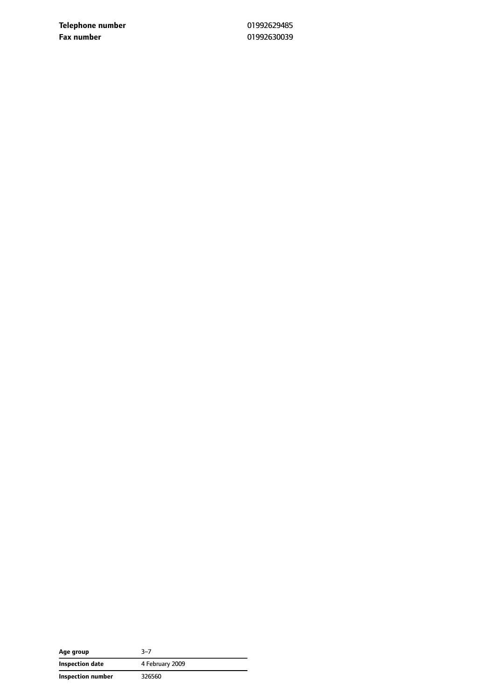**Telephone number** 01992629485 **Fax number** 01992630039

| Age group         | 3–7             |
|-------------------|-----------------|
| Inspection date   | 4 February 2009 |
| Inspection number | 326560          |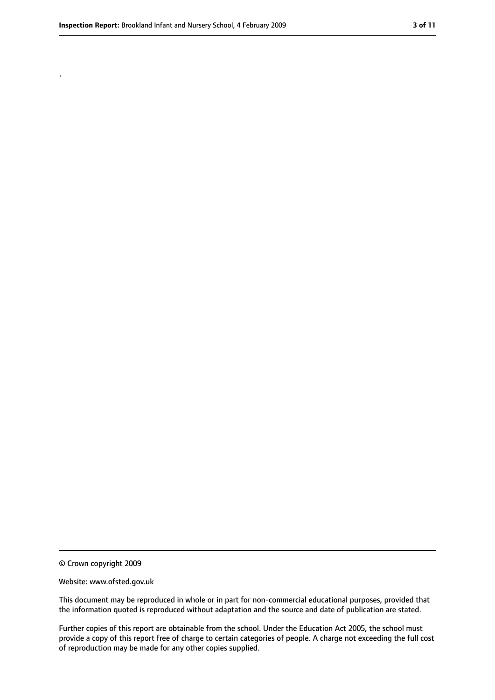.

<sup>©</sup> Crown copyright 2009

Website: www.ofsted.gov.uk

This document may be reproduced in whole or in part for non-commercial educational purposes, provided that the information quoted is reproduced without adaptation and the source and date of publication are stated.

Further copies of this report are obtainable from the school. Under the Education Act 2005, the school must provide a copy of this report free of charge to certain categories of people. A charge not exceeding the full cost of reproduction may be made for any other copies supplied.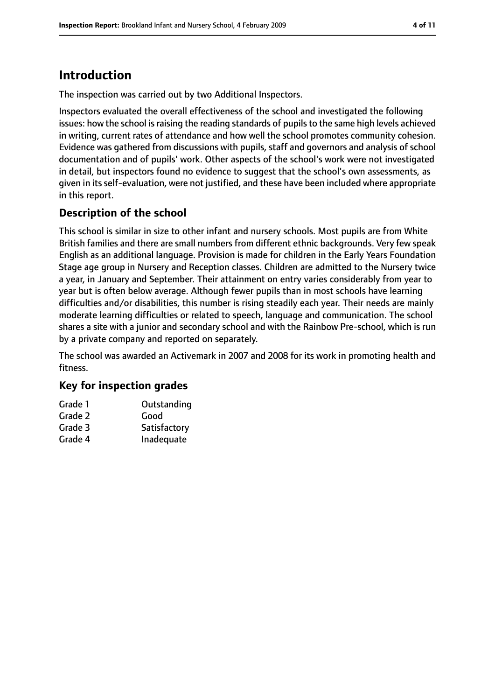# **Introduction**

The inspection was carried out by two Additional Inspectors.

Inspectors evaluated the overall effectiveness of the school and investigated the following issues: how the school is raising the reading standards of pupils to the same high levels achieved in writing, current rates of attendance and how well the school promotes community cohesion. Evidence was gathered from discussions with pupils, staff and governors and analysis of school documentation and of pupils' work. Other aspects of the school's work were not investigated in detail, but inspectors found no evidence to suggest that the school's own assessments, as given in its self-evaluation, were not justified, and these have been included where appropriate in this report.

#### **Description of the school**

This school is similar in size to other infant and nursery schools. Most pupils are from White British families and there are small numbers from different ethnic backgrounds. Very few speak English as an additional language. Provision is made for children in the Early Years Foundation Stage age group in Nursery and Reception classes. Children are admitted to the Nursery twice a year, in January and September. Their attainment on entry varies considerably from year to year but is often below average. Although fewer pupils than in most schools have learning difficulties and/or disabilities, this number is rising steadily each year. Their needs are mainly moderate learning difficulties or related to speech, language and communication. The school shares a site with a junior and secondary school and with the Rainbow Pre-school, which is run by a private company and reported on separately.

The school was awarded an Activemark in 2007 and 2008 for its work in promoting health and fitness.

#### **Key for inspection grades**

| Grade 1 | Outstanding  |
|---------|--------------|
| Grade 2 | Good         |
| Grade 3 | Satisfactory |
| Grade 4 | Inadequate   |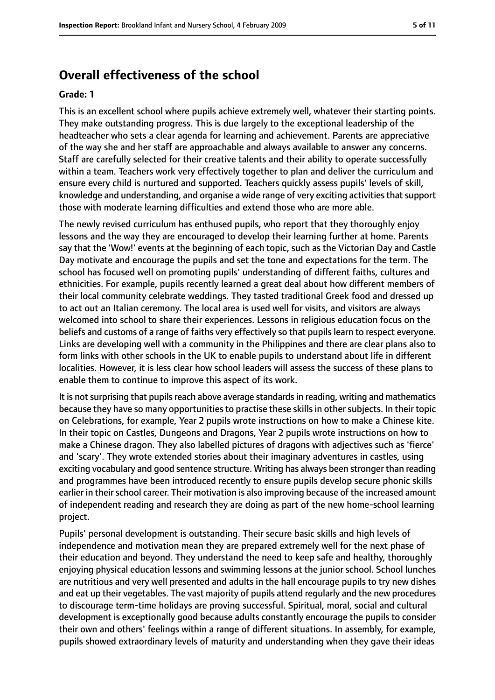#### **Overall effectiveness of the school**

#### **Grade: 1**

This is an excellent school where pupils achieve extremely well, whatever their starting points. They make outstanding progress. This is due largely to the exceptional leadership of the headteacher who sets a clear agenda for learning and achievement. Parents are appreciative of the way she and her staff are approachable and always available to answer any concerns. Staff are carefully selected for their creative talents and their ability to operate successfully within a team. Teachers work very effectively together to plan and deliver the curriculum and ensure every child is nurtured and supported. Teachers quickly assess pupils' levels of skill, knowledge and understanding, and organise a wide range of very exciting activities that support those with moderate learning difficulties and extend those who are more able.

The newly revised curriculum has enthused pupils, who report that they thoroughly enjoy lessons and the way they are encouraged to develop their learning further at home. Parents say that the 'Wow!' events at the beginning of each topic, such as the Victorian Day and Castle Day motivate and encourage the pupils and set the tone and expectations for the term. The school has focused well on promoting pupils' understanding of different faiths, cultures and ethnicities. For example, pupils recently learned a great deal about how different members of their local community celebrate weddings. They tasted traditional Greek food and dressed up to act out an Italian ceremony. The local area is used well for visits, and visitors are always welcomed into school to share their experiences. Lessons in religious education focus on the beliefs and customs of a range of faiths very effectively so that pupils learn to respect everyone. Links are developing well with a community in the Philippines and there are clear plans also to form links with other schools in the UK to enable pupils to understand about life in different localities. However, it is less clear how school leaders will assess the success of these plans to enable them to continue to improve this aspect of its work.

It is not surprising that pupils reach above average standards in reading, writing and mathematics because they have so many opportunities to practise these skills in other subjects. In their topic on Celebrations, for example, Year 2 pupils wrote instructions on how to make a Chinese kite. In their topic on Castles, Dungeons and Dragons, Year 2 pupils wrote instructions on how to make a Chinese dragon. They also labelled pictures of dragons with adjectives such as 'fierce' and 'scary'. They wrote extended stories about their imaginary adventures in castles, using exciting vocabulary and good sentence structure. Writing has always been stronger than reading and programmes have been introduced recently to ensure pupils develop secure phonic skills earlier in their school career. Their motivation is also improving because of the increased amount of independent reading and research they are doing as part of the new home-school learning project.

Pupils' personal development is outstanding. Their secure basic skills and high levels of independence and motivation mean they are prepared extremely well for the next phase of their education and beyond. They understand the need to keep safe and healthy, thoroughly enjoying physical education lessons and swimming lessons at the junior school. School lunches are nutritious and very well presented and adults in the hall encourage pupils to try new dishes and eat up their vegetables. The vast majority of pupils attend regularly and the new procedures to discourage term-time holidays are proving successful. Spiritual, moral, social and cultural development is exceptionally good because adults constantly encourage the pupils to consider their own and others' feelings within a range of different situations. In assembly, for example, pupils showed extraordinary levels of maturity and understanding when they gave their ideas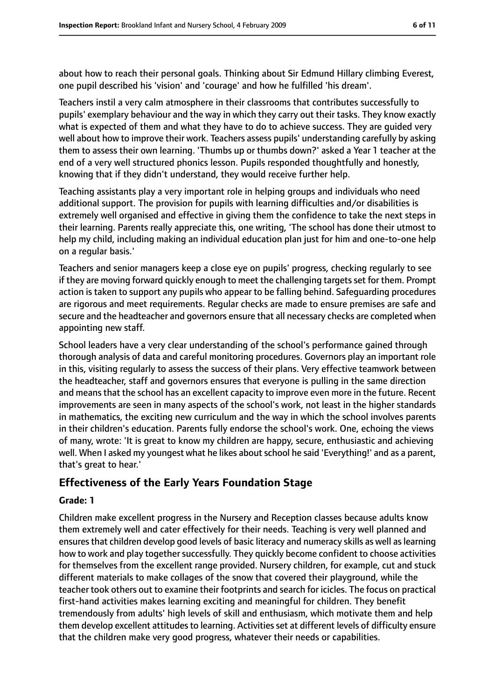about how to reach their personal goals. Thinking about Sir Edmund Hillary climbing Everest, one pupil described his 'vision' and 'courage' and how he fulfilled 'his dream'.

Teachers instil a very calm atmosphere in their classrooms that contributes successfully to pupils' exemplary behaviour and the way in which they carry out their tasks. They know exactly what is expected of them and what they have to do to achieve success. They are guided very well about how to improve their work. Teachers assess pupils' understanding carefully by asking them to assess their own learning. 'Thumbs up or thumbs down?' asked a Year 1 teacher at the end of a very well structured phonics lesson. Pupils responded thoughtfully and honestly, knowing that if they didn't understand, they would receive further help.

Teaching assistants play a very important role in helping groups and individuals who need additional support. The provision for pupils with learning difficulties and/or disabilities is extremely well organised and effective in giving them the confidence to take the next steps in their learning. Parents really appreciate this, one writing, 'The school has done their utmost to help my child, including making an individual education plan just for him and one-to-one help on a regular basis.'

Teachers and senior managers keep a close eye on pupils' progress, checking regularly to see if they are moving forward quickly enough to meet the challenging targetsset for them. Prompt action is taken to support any pupils who appear to be falling behind. Safeguarding procedures are rigorous and meet requirements. Regular checks are made to ensure premises are safe and secure and the headteacher and governors ensure that all necessary checks are completed when appointing new staff.

School leaders have a very clear understanding of the school's performance gained through thorough analysis of data and careful monitoring procedures. Governors play an important role in this, visiting regularly to assess the success of their plans. Very effective teamwork between the headteacher, staff and governors ensures that everyone is pulling in the same direction and means that the school has an excellent capacity to improve even more in the future. Recent improvements are seen in many aspects of the school's work, not least in the higher standards in mathematics, the exciting new curriculum and the way in which the school involves parents in their children's education. Parents fully endorse the school's work. One, echoing the views of many, wrote: 'It is great to know my children are happy, secure, enthusiastic and achieving well. When I asked my youngest what he likes about school he said 'Everything!' and as a parent, that's great to hear.'

#### **Effectiveness of the Early Years Foundation Stage**

#### **Grade: 1**

Children make excellent progress in the Nursery and Reception classes because adults know them extremely well and cater effectively for their needs. Teaching is very well planned and ensures that children develop good levels of basic literacy and numeracy skills as well as learning how to work and play together successfully. They quickly become confident to choose activities for themselves from the excellent range provided. Nursery children, for example, cut and stuck different materials to make collages of the snow that covered their playground, while the teacher took others out to examine their footprints and search for icicles. The focus on practical first-hand activities makes learning exciting and meaningful for children. They benefit tremendously from adults' high levels of skill and enthusiasm, which motivate them and help them develop excellent attitudesto learning. Activitiesset at different levels of difficulty ensure that the children make very good progress, whatever their needs or capabilities.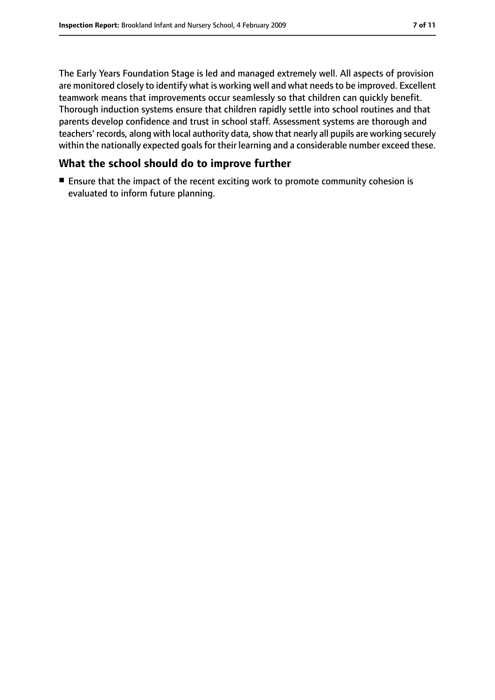The Early Years Foundation Stage is led and managed extremely well. All aspects of provision are monitored closely to identify what is working well and what needs to be improved. Excellent teamwork means that improvements occur seamlessly so that children can quickly benefit. Thorough induction systems ensure that children rapidly settle into school routines and that parents develop confidence and trust in school staff. Assessment systems are thorough and teachers' records, along with local authority data, show that nearly all pupils are working securely within the nationally expected goals for their learning and a considerable number exceed these.

#### **What the school should do to improve further**

■ Ensure that the impact of the recent exciting work to promote community cohesion is evaluated to inform future planning.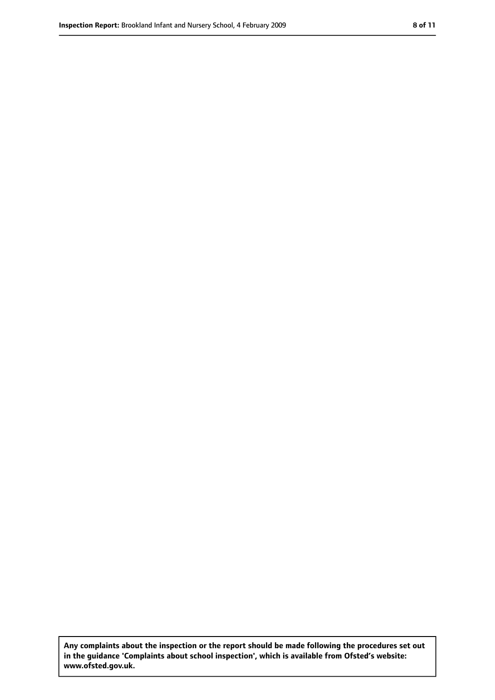**Any complaints about the inspection or the report should be made following the procedures set out in the guidance 'Complaints about school inspection', which is available from Ofsted's website: www.ofsted.gov.uk.**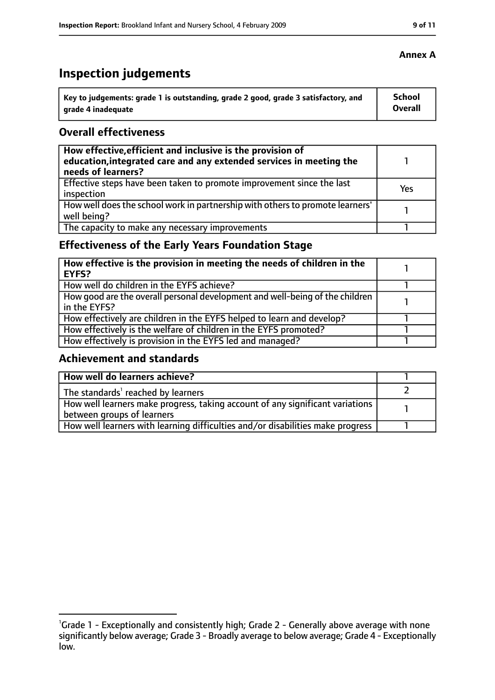# **Inspection judgements**

| Key to judgements: grade 1 is outstanding, grade 2 good, grade 3 satisfactory, and | School         |
|------------------------------------------------------------------------------------|----------------|
| grade 4 inadequate                                                                 | <b>Overall</b> |

#### **Overall effectiveness**

| How effective, efficient and inclusive is the provision of<br>education, integrated care and any extended services in meeting the<br>needs of learners? |     |
|---------------------------------------------------------------------------------------------------------------------------------------------------------|-----|
| Effective steps have been taken to promote improvement since the last<br>inspection                                                                     | Yes |
| How well does the school work in partnership with others to promote learners'<br>well being?                                                            |     |
| The capacity to make any necessary improvements                                                                                                         |     |

## **Effectiveness of the Early Years Foundation Stage**

| How effective is the provision in meeting the needs of children in the<br><b>EYFS?</b>       |  |
|----------------------------------------------------------------------------------------------|--|
| How well do children in the EYFS achieve?                                                    |  |
| How good are the overall personal development and well-being of the children<br>in the EYFS? |  |
| How effectively are children in the EYFS helped to learn and develop?                        |  |
| How effectively is the welfare of children in the EYFS promoted?                             |  |
| How effectively is provision in the EYFS led and managed?                                    |  |

#### **Achievement and standards**

| How well do learners achieve?                                                               |  |
|---------------------------------------------------------------------------------------------|--|
| The standards <sup>1</sup> reached by learners                                              |  |
| $\mid$ How well learners make progress, taking account of any significant variations $\mid$ |  |
| between groups of learners                                                                  |  |
| How well learners with learning difficulties and/or disabilities make progress              |  |

#### **Annex A**

<sup>&</sup>lt;sup>1</sup>Grade 1 - Exceptionally and consistently high; Grade 2 - Generally above average with none significantly below average; Grade 3 - Broadly average to below average; Grade 4 - Exceptionally low.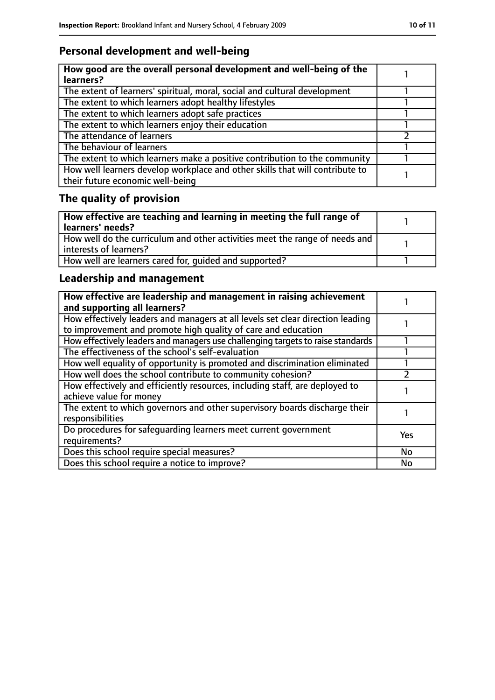## **Personal development and well-being**

| How good are the overall personal development and well-being of the<br>learners?                                 |  |
|------------------------------------------------------------------------------------------------------------------|--|
| The extent of learners' spiritual, moral, social and cultural development                                        |  |
| The extent to which learners adopt healthy lifestyles                                                            |  |
| The extent to which learners adopt safe practices                                                                |  |
| The extent to which learners enjoy their education                                                               |  |
| The attendance of learners                                                                                       |  |
| The behaviour of learners                                                                                        |  |
| The extent to which learners make a positive contribution to the community                                       |  |
| How well learners develop workplace and other skills that will contribute to<br>their future economic well-being |  |

# **The quality of provision**

| How effective are teaching and learning in meeting the full range of<br>learners' needs?              |  |
|-------------------------------------------------------------------------------------------------------|--|
| How well do the curriculum and other activities meet the range of needs and<br>interests of learners? |  |
| How well are learners cared for, quided and supported?                                                |  |

## **Leadership and management**

| How effective are leadership and management in raising achievement<br>and supporting all learners?                                              |            |
|-------------------------------------------------------------------------------------------------------------------------------------------------|------------|
| How effectively leaders and managers at all levels set clear direction leading<br>to improvement and promote high quality of care and education |            |
| How effectively leaders and managers use challenging targets to raise standards                                                                 |            |
| The effectiveness of the school's self-evaluation                                                                                               |            |
| How well equality of opportunity is promoted and discrimination eliminated                                                                      |            |
| How well does the school contribute to community cohesion?                                                                                      |            |
| How effectively and efficiently resources, including staff, are deployed to<br>achieve value for money                                          |            |
| The extent to which governors and other supervisory boards discharge their<br>responsibilities                                                  |            |
| Do procedures for safequarding learners meet current government<br>requirements?                                                                | <b>Yes</b> |
| Does this school require special measures?                                                                                                      | No         |
| Does this school require a notice to improve?                                                                                                   | No         |